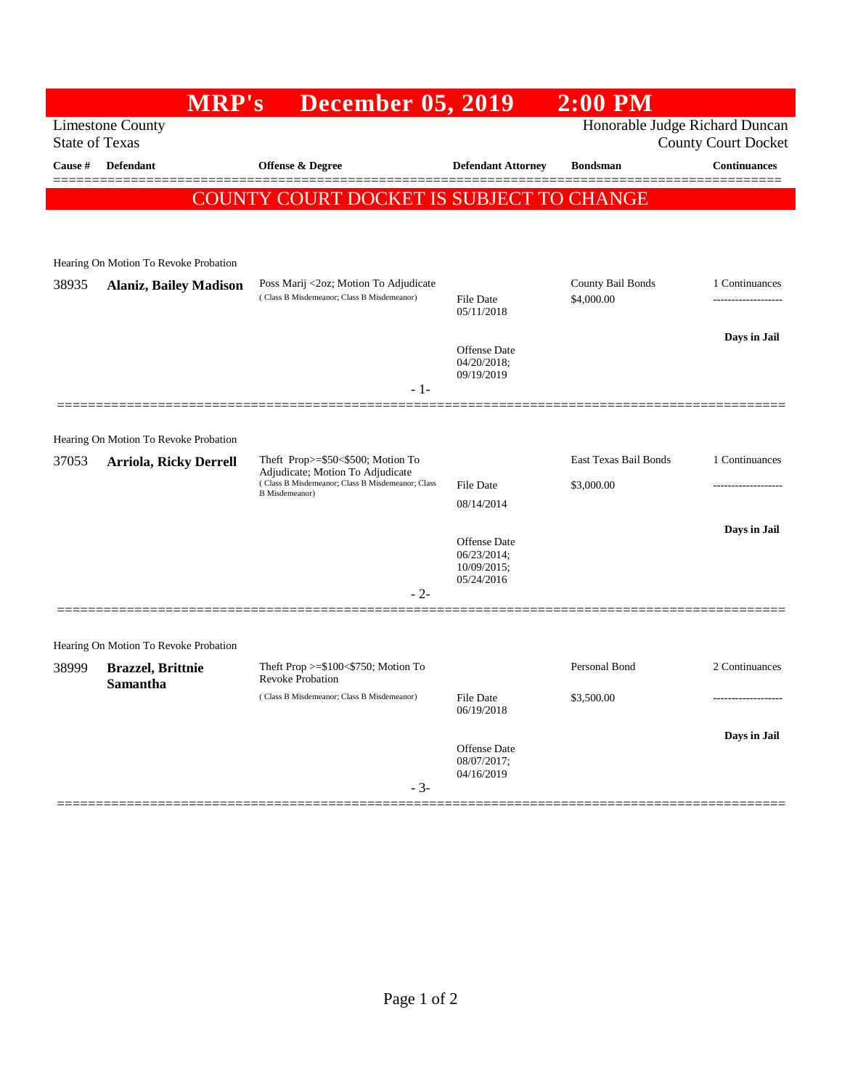|                                                                                                                  | <b>MRP's</b>                          | <b>December 05, 2019</b>                                                                                      |                                            | $2:00$ PM                       |                     |  |  |
|------------------------------------------------------------------------------------------------------------------|---------------------------------------|---------------------------------------------------------------------------------------------------------------|--------------------------------------------|---------------------------------|---------------------|--|--|
| Honorable Judge Richard Duncan<br><b>Limestone County</b><br><b>State of Texas</b><br><b>County Court Docket</b> |                                       |                                                                                                               |                                            |                                 |                     |  |  |
| Cause #                                                                                                          | Defendant                             | <b>Offense &amp; Degree</b>                                                                                   | <b>Defendant Attorney</b>                  | <b>Bondsman</b>                 | <b>Continuances</b> |  |  |
|                                                                                                                  |                                       |                                                                                                               |                                            |                                 |                     |  |  |
|                                                                                                                  |                                       | COUNTY COURT DOCKET IS SUBJECT TO CHANGE                                                                      |                                            |                                 |                     |  |  |
|                                                                                                                  |                                       |                                                                                                               |                                            |                                 |                     |  |  |
|                                                                                                                  | Hearing On Motion To Revoke Probation |                                                                                                               |                                            |                                 |                     |  |  |
| 38935                                                                                                            | <b>Alaniz, Bailey Madison</b>         | Poss Marij <2oz; Motion To Adjudicate<br>(Class B Misdemeanor; Class B Misdemeanor)                           | File Date                                  | County Bail Bonds<br>\$4,000.00 | 1 Continuances<br>  |  |  |
|                                                                                                                  |                                       |                                                                                                               | 05/11/2018                                 |                                 |                     |  |  |
|                                                                                                                  |                                       |                                                                                                               | Offense Date                               |                                 | Days in Jail        |  |  |
|                                                                                                                  |                                       |                                                                                                               | 04/20/2018;<br>09/19/2019                  |                                 |                     |  |  |
|                                                                                                                  |                                       | $-1-$                                                                                                         |                                            |                                 |                     |  |  |
|                                                                                                                  |                                       |                                                                                                               |                                            |                                 |                     |  |  |
| 37053                                                                                                            | Hearing On Motion To Revoke Probation | Theft Prop>=\$50<\$500; Motion To                                                                             |                                            | East Texas Bail Bonds           | 1 Continuances      |  |  |
|                                                                                                                  | <b>Arriola, Ricky Derrell</b>         | Adjudicate; Motion To Adjudicate<br>(Class B Misdemeanor; Class B Misdemeanor; Class<br><b>B</b> Misdemeanor) | File Date                                  | \$3,000.00                      |                     |  |  |
|                                                                                                                  |                                       |                                                                                                               | 08/14/2014                                 |                                 |                     |  |  |
|                                                                                                                  |                                       |                                                                                                               |                                            |                                 | Days in Jail        |  |  |
|                                                                                                                  |                                       |                                                                                                               | Offense Date<br>06/23/2014;<br>10/09/2015; |                                 |                     |  |  |
|                                                                                                                  |                                       |                                                                                                               | 05/24/2016                                 |                                 |                     |  |  |
|                                                                                                                  |                                       | $-2-$                                                                                                         |                                            |                                 |                     |  |  |
|                                                                                                                  | Hearing On Motion To Revoke Probation |                                                                                                               |                                            |                                 |                     |  |  |
| 38999                                                                                                            | <b>Brazzel</b> , Brittnie             | Theft Prop >= $$100<$750$ ; Motion To                                                                         |                                            | Personal Bond                   | 2 Continuances      |  |  |
|                                                                                                                  | <b>Samantha</b>                       | <b>Revoke Probation</b><br>(Class B Misdemeanor; Class B Misdemeanor)                                         | File Date                                  | \$3,500.00                      | ------------------  |  |  |
|                                                                                                                  |                                       |                                                                                                               | 06/19/2018                                 |                                 |                     |  |  |
|                                                                                                                  |                                       |                                                                                                               | Offense Date                               |                                 | Days in Jail        |  |  |
|                                                                                                                  |                                       |                                                                                                               | 08/07/2017;<br>04/16/2019                  |                                 |                     |  |  |
|                                                                                                                  |                                       | $-3-$                                                                                                         |                                            |                                 |                     |  |  |